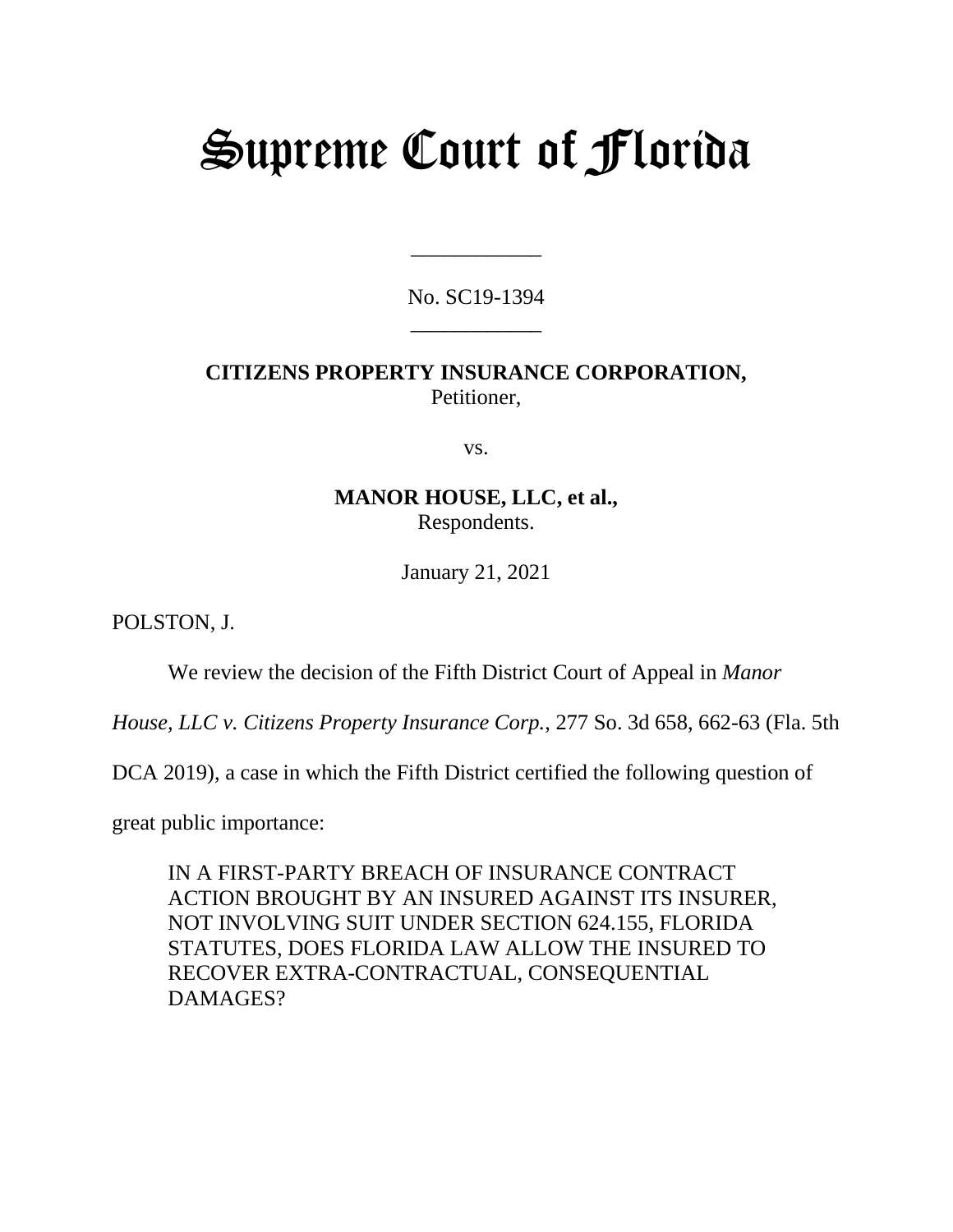# Supreme Court of Florida

No. SC19-1394 \_\_\_\_\_\_\_\_\_\_\_\_

\_\_\_\_\_\_\_\_\_\_\_\_

## **CITIZENS PROPERTY INSURANCE CORPORATION,** Petitioner,

vs.

### **MANOR HOUSE, LLC, et al.,** Respondents.

January 21, 2021

POLSTON, J.

We review the decision of the Fifth District Court of Appeal in *Manor* 

*House, LLC v. Citizens Property Insurance Corp.*, 277 So. 3d 658, 662-63 (Fla. 5th

DCA 2019), a case in which the Fifth District certified the following question of

great public importance:

IN A FIRST-PARTY BREACH OF INSURANCE CONTRACT ACTION BROUGHT BY AN INSURED AGAINST ITS INSURER, NOT INVOLVING SUIT UNDER SECTION 624.155, FLORIDA STATUTES, DOES FLORIDA LAW ALLOW THE INSURED TO RECOVER EXTRA-CONTRACTUAL, CONSEQUENTIAL DAMAGES?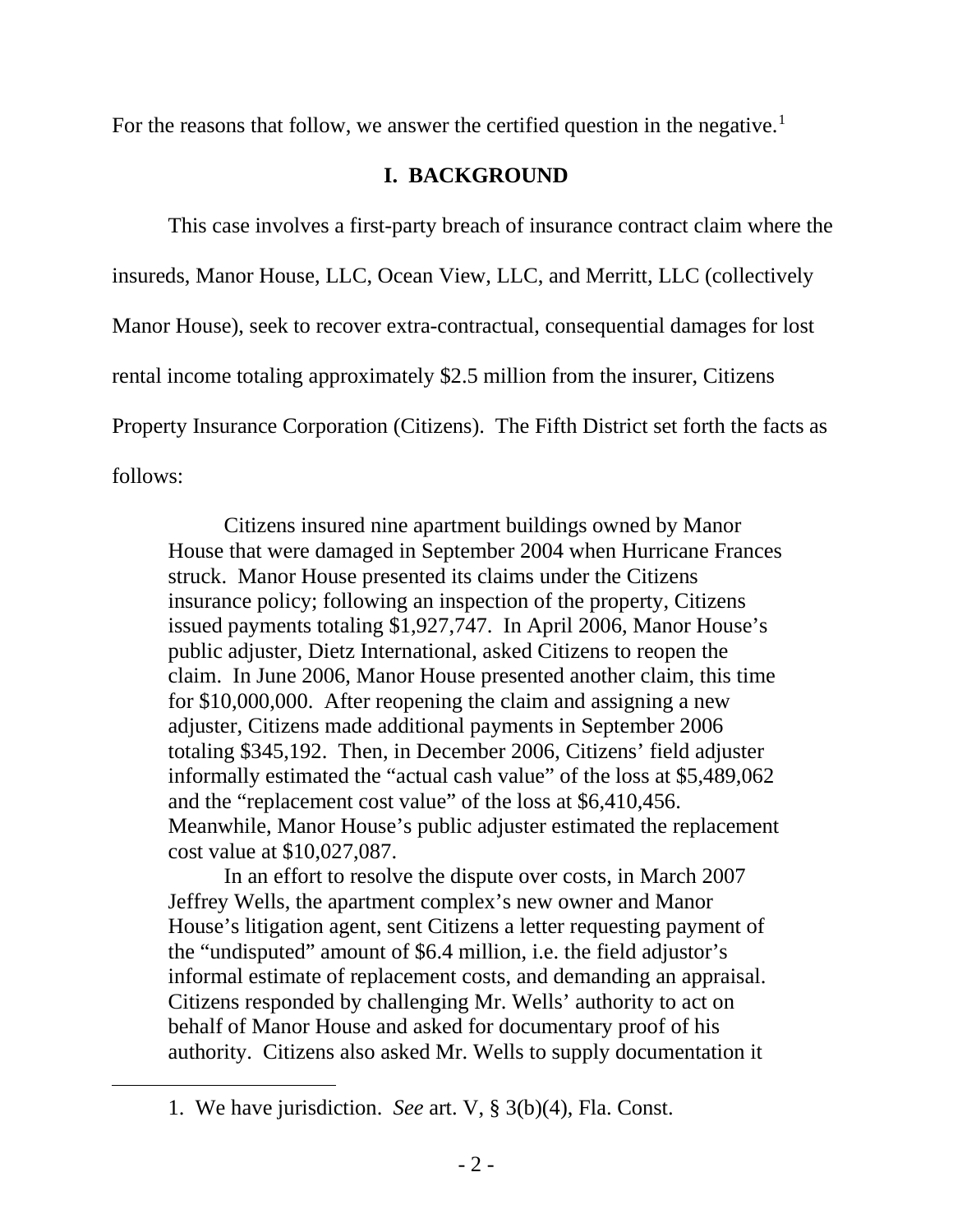For the reasons that follow, we answer the certified question in the negative.<sup>[1](#page-1-0)</sup>

## **I. BACKGROUND**

This case involves a first-party breach of insurance contract claim where the insureds, Manor House, LLC, Ocean View, LLC, and Merritt, LLC (collectively Manor House), seek to recover extra-contractual, consequential damages for lost rental income totaling approximately \$2.5 million from the insurer, Citizens Property Insurance Corporation (Citizens). The Fifth District set forth the facts as follows:

Citizens insured nine apartment buildings owned by Manor House that were damaged in September 2004 when Hurricane Frances struck. Manor House presented its claims under the Citizens insurance policy; following an inspection of the property, Citizens issued payments totaling \$1,927,747. In April 2006, Manor House's public adjuster, Dietz International, asked Citizens to reopen the claim. In June 2006, Manor House presented another claim, this time for \$10,000,000. After reopening the claim and assigning a new adjuster, Citizens made additional payments in September 2006 totaling \$345,192. Then, in December 2006, Citizens' field adjuster informally estimated the "actual cash value" of the loss at \$5,489,062 and the "replacement cost value" of the loss at \$6,410,456. Meanwhile, Manor House's public adjuster estimated the replacement cost value at \$10,027,087.

In an effort to resolve the dispute over costs, in March 2007 Jeffrey Wells, the apartment complex's new owner and Manor House's litigation agent, sent Citizens a letter requesting payment of the "undisputed" amount of \$6.4 million, i.e. the field adjustor's informal estimate of replacement costs, and demanding an appraisal. Citizens responded by challenging Mr. Wells' authority to act on behalf of Manor House and asked for documentary proof of his authority. Citizens also asked Mr. Wells to supply documentation it

<span id="page-1-0"></span><sup>1.</sup> We have jurisdiction. *See* art. V, § 3(b)(4), Fla. Const.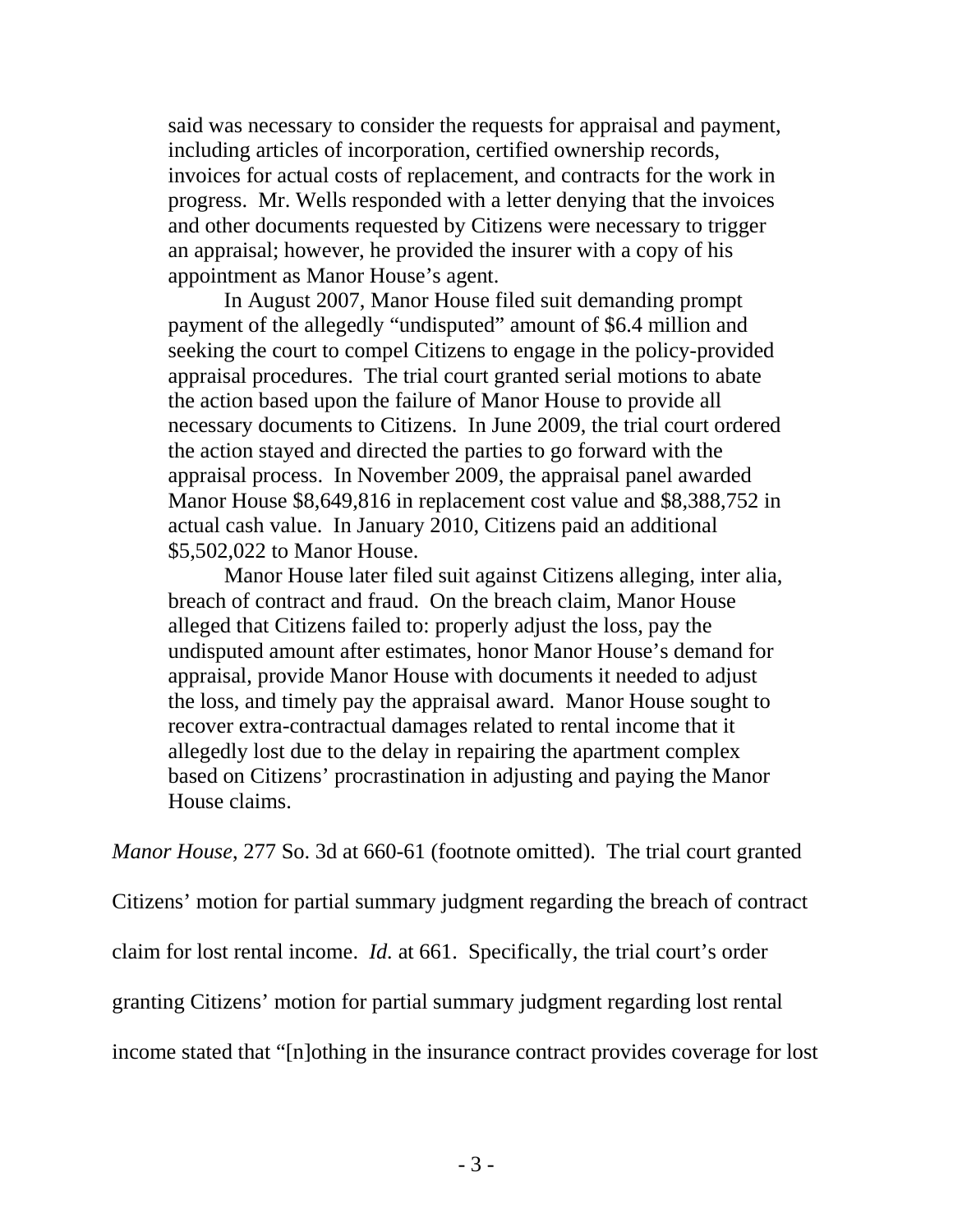said was necessary to consider the requests for appraisal and payment, including articles of incorporation, certified ownership records, invoices for actual costs of replacement, and contracts for the work in progress. Mr. Wells responded with a letter denying that the invoices and other documents requested by Citizens were necessary to trigger an appraisal; however, he provided the insurer with a copy of his appointment as Manor House's agent.

In August 2007, Manor House filed suit demanding prompt payment of the allegedly "undisputed" amount of \$6.4 million and seeking the court to compel Citizens to engage in the policy-provided appraisal procedures. The trial court granted serial motions to abate the action based upon the failure of Manor House to provide all necessary documents to Citizens. In June 2009, the trial court ordered the action stayed and directed the parties to go forward with the appraisal process. In November 2009, the appraisal panel awarded Manor House \$8,649,816 in replacement cost value and \$8,388,752 in actual cash value. In January 2010, Citizens paid an additional \$5,502,022 to Manor House.

Manor House later filed suit against Citizens alleging, inter alia, breach of contract and fraud. On the breach claim, Manor House alleged that Citizens failed to: properly adjust the loss, pay the undisputed amount after estimates, honor Manor House's demand for appraisal, provide Manor House with documents it needed to adjust the loss, and timely pay the appraisal award. Manor House sought to recover extra-contractual damages related to rental income that it allegedly lost due to the delay in repairing the apartment complex based on Citizens' procrastination in adjusting and paying the Manor House claims.

*Manor House*, 277 So. 3d at 660-61 (footnote omitted). The trial court granted

Citizens' motion for partial summary judgment regarding the breach of contract

claim for lost rental income. *Id.* at 661. Specifically, the trial court's order

granting Citizens' motion for partial summary judgment regarding lost rental

income stated that "[n]othing in the insurance contract provides coverage for lost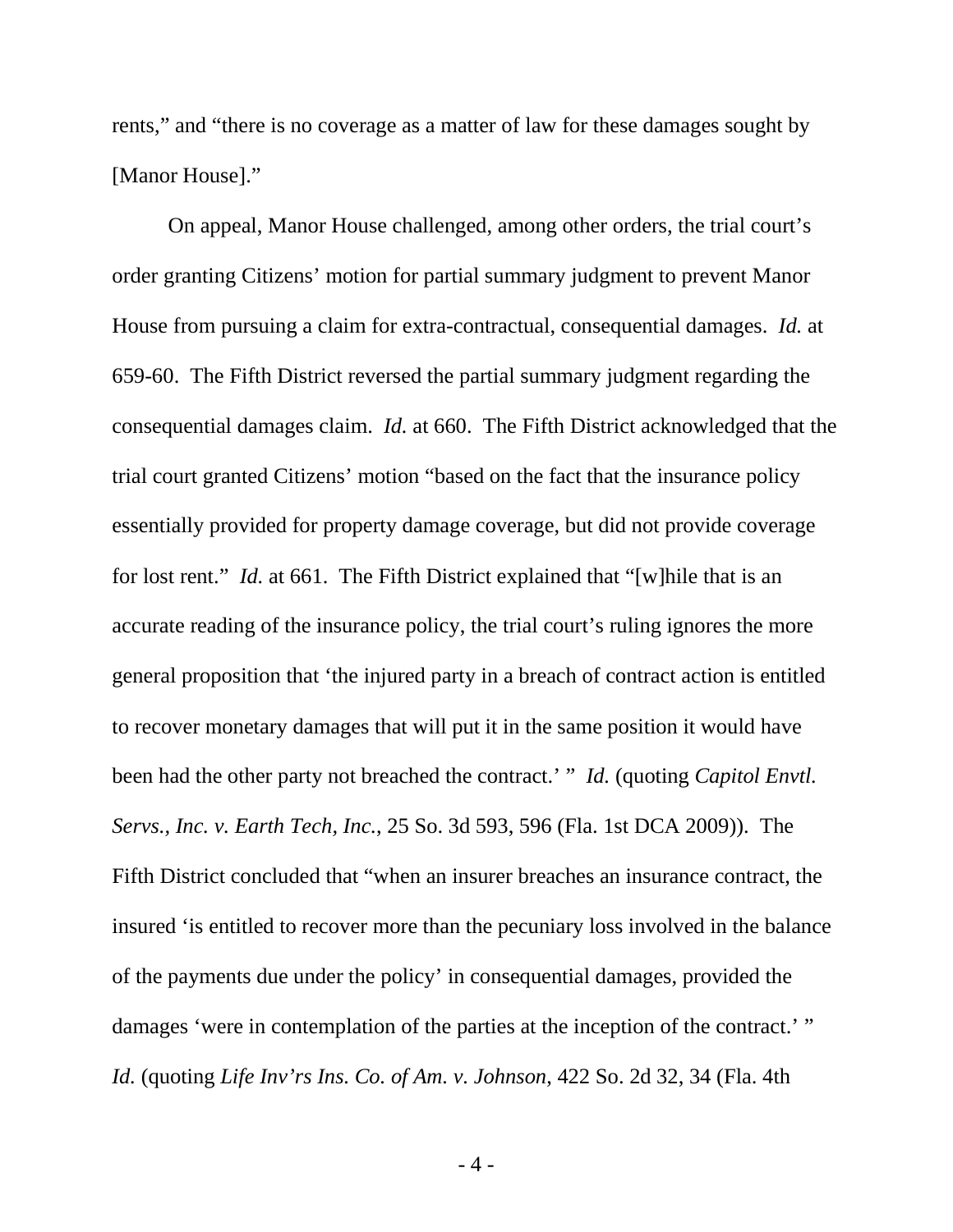rents," and "there is no coverage as a matter of law for these damages sought by [Manor House]."

On appeal, Manor House challenged, among other orders, the trial court's order granting Citizens' motion for partial summary judgment to prevent Manor House from pursuing a claim for extra-contractual, consequential damages. *Id.* at 659-60. The Fifth District reversed the partial summary judgment regarding the consequential damages claim. *Id.* at 660. The Fifth District acknowledged that the trial court granted Citizens' motion "based on the fact that the insurance policy essentially provided for property damage coverage, but did not provide coverage for lost rent." *Id.* at 661. The Fifth District explained that "[w]hile that is an accurate reading of the insurance policy, the trial court's ruling ignores the more general proposition that 'the injured party in a breach of contract action is entitled to recover monetary damages that will put it in the same position it would have been had the other party not breached the contract.' " *Id.* (quoting *Capitol Envtl. Servs., Inc. v. Earth Tech, Inc.*, 25 So. 3d 593, 596 (Fla. 1st DCA 2009)). The Fifth District concluded that "when an insurer breaches an insurance contract, the insured 'is entitled to recover more than the pecuniary loss involved in the balance of the payments due under the policy' in consequential damages, provided the damages 'were in contemplation of the parties at the inception of the contract.' " *Id.* (quoting *Life Inv'rs Ins. Co. of Am. v. Johnson*, 422 So. 2d 32, 34 (Fla. 4th

- 4 -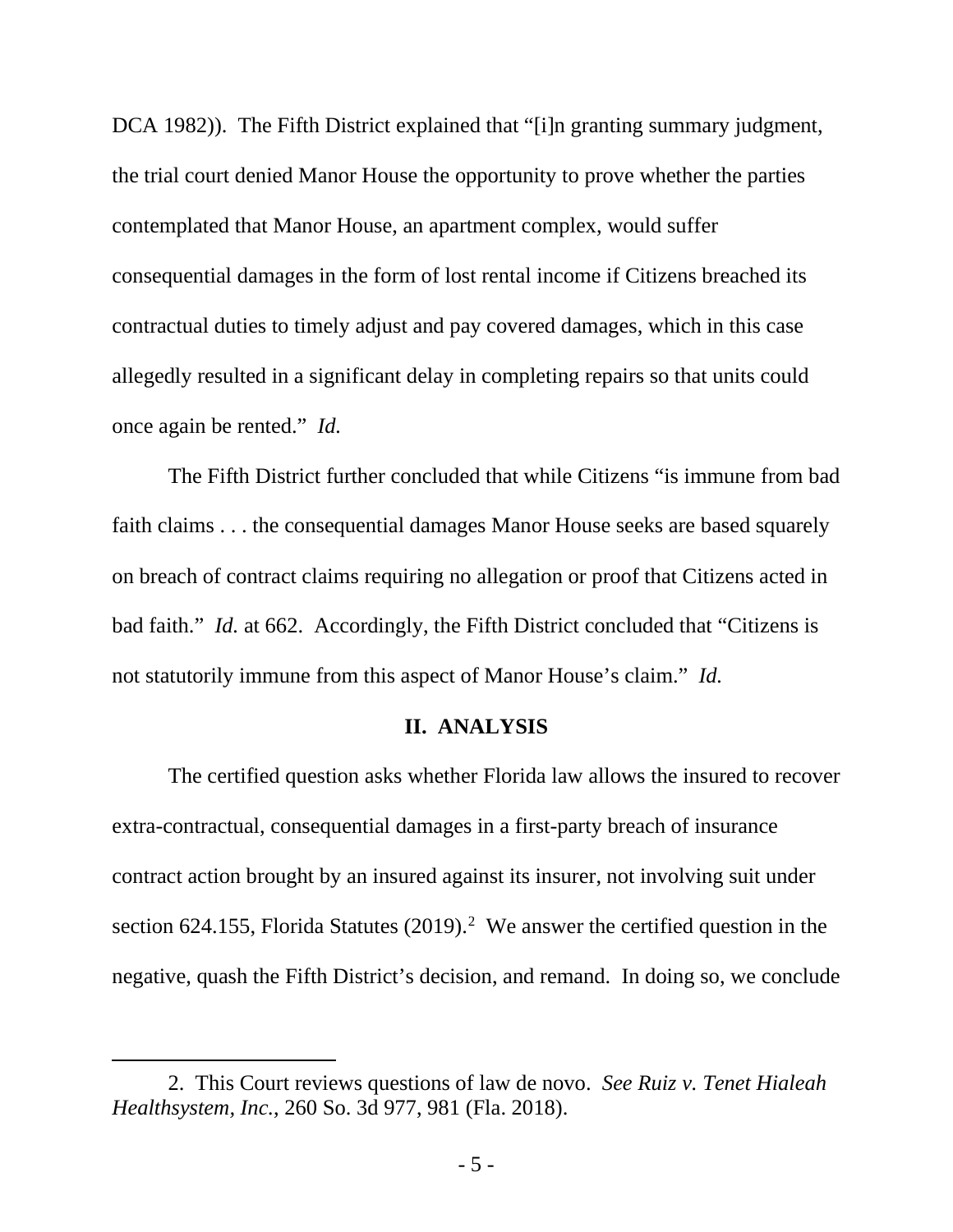DCA 1982)). The Fifth District explained that "[i]n granting summary judgment, the trial court denied Manor House the opportunity to prove whether the parties contemplated that Manor House, an apartment complex, would suffer consequential damages in the form of lost rental income if Citizens breached its contractual duties to timely adjust and pay covered damages, which in this case allegedly resulted in a significant delay in completing repairs so that units could once again be rented." *Id.*

The Fifth District further concluded that while Citizens "is immune from bad faith claims . . . the consequential damages Manor House seeks are based squarely on breach of contract claims requiring no allegation or proof that Citizens acted in bad faith." *Id.* at 662. Accordingly, the Fifth District concluded that "Citizens is not statutorily immune from this aspect of Manor House's claim." *Id.*

#### **II. ANALYSIS**

The certified question asks whether Florida law allows the insured to recover extra-contractual, consequential damages in a first-party breach of insurance contract action brought by an insured against its insurer, not involving suit under section 6[2](#page-4-0)4.155, Florida Statutes (2019).<sup>2</sup> We answer the certified question in the negative, quash the Fifth District's decision, and remand. In doing so, we conclude

<span id="page-4-0"></span><sup>2.</sup> This Court reviews questions of law de novo. *See Ruiz v. Tenet Hialeah Healthsystem, Inc.*, 260 So. 3d 977, 981 (Fla. 2018).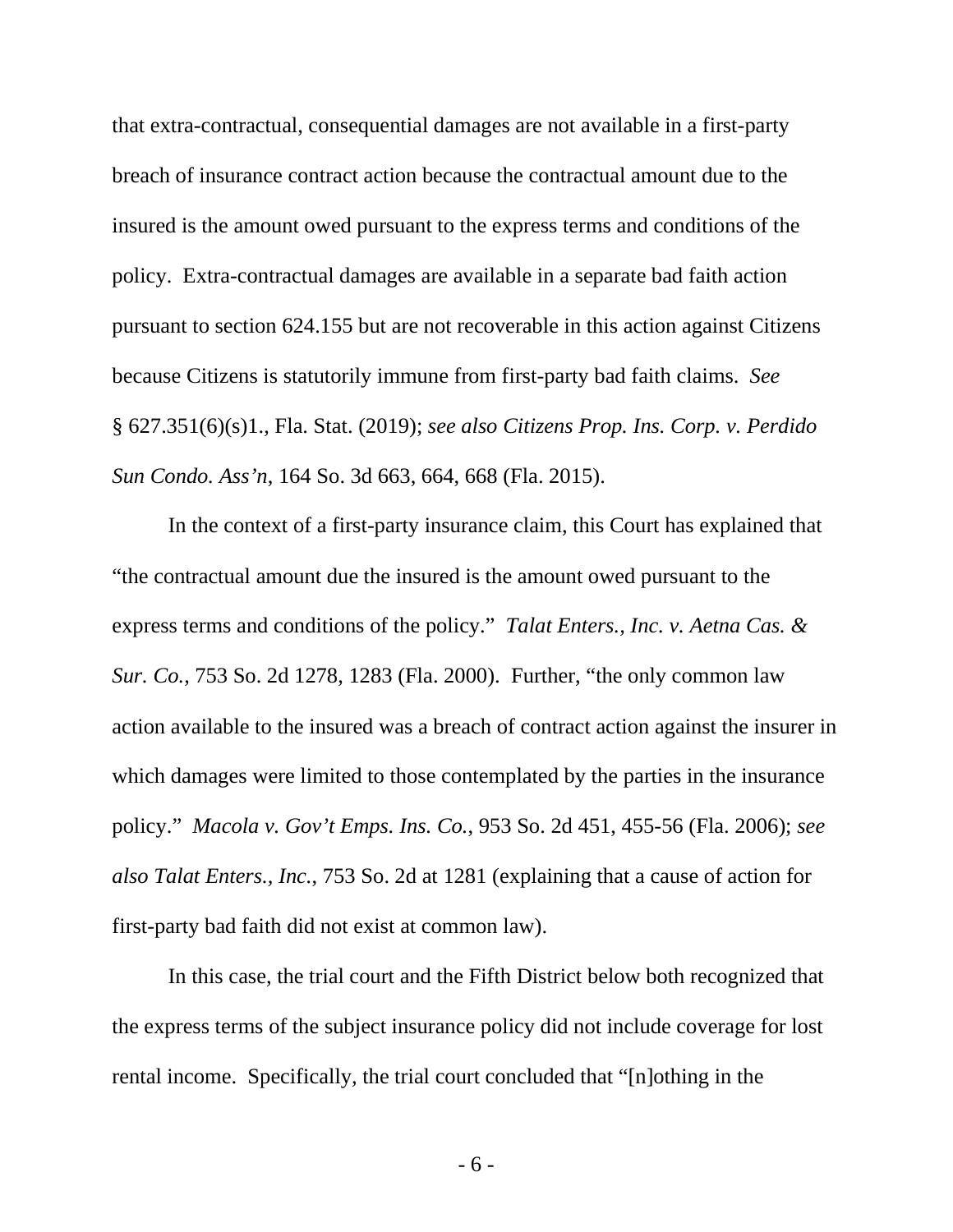that extra-contractual, consequential damages are not available in a first-party breach of insurance contract action because the contractual amount due to the insured is the amount owed pursuant to the express terms and conditions of the policy. Extra-contractual damages are available in a separate bad faith action pursuant to section 624.155 but are not recoverable in this action against Citizens because Citizens is statutorily immune from first-party bad faith claims. *See* § 627.351(6)(s)1., Fla. Stat. (2019); *see also Citizens Prop. Ins. Corp. v. Perdido Sun Condo. Ass'n*, 164 So. 3d 663, 664, 668 (Fla. 2015).

In the context of a first-party insurance claim, this Court has explained that "the contractual amount due the insured is the amount owed pursuant to the express terms and conditions of the policy." *Talat Enters., Inc. v. Aetna Cas. & Sur. Co.*, 753 So. 2d 1278, 1283 (Fla. 2000). Further, "the only common law action available to the insured was a breach of contract action against the insurer in which damages were limited to those contemplated by the parties in the insurance policy." *Macola v. Gov't Emps. Ins. Co.*, 953 So. 2d 451, 455-56 (Fla. 2006); *see also Talat Enters., Inc.*, 753 So. 2d at 1281 (explaining that a cause of action for first-party bad faith did not exist at common law).

In this case, the trial court and the Fifth District below both recognized that the express terms of the subject insurance policy did not include coverage for lost rental income. Specifically, the trial court concluded that "[n]othing in the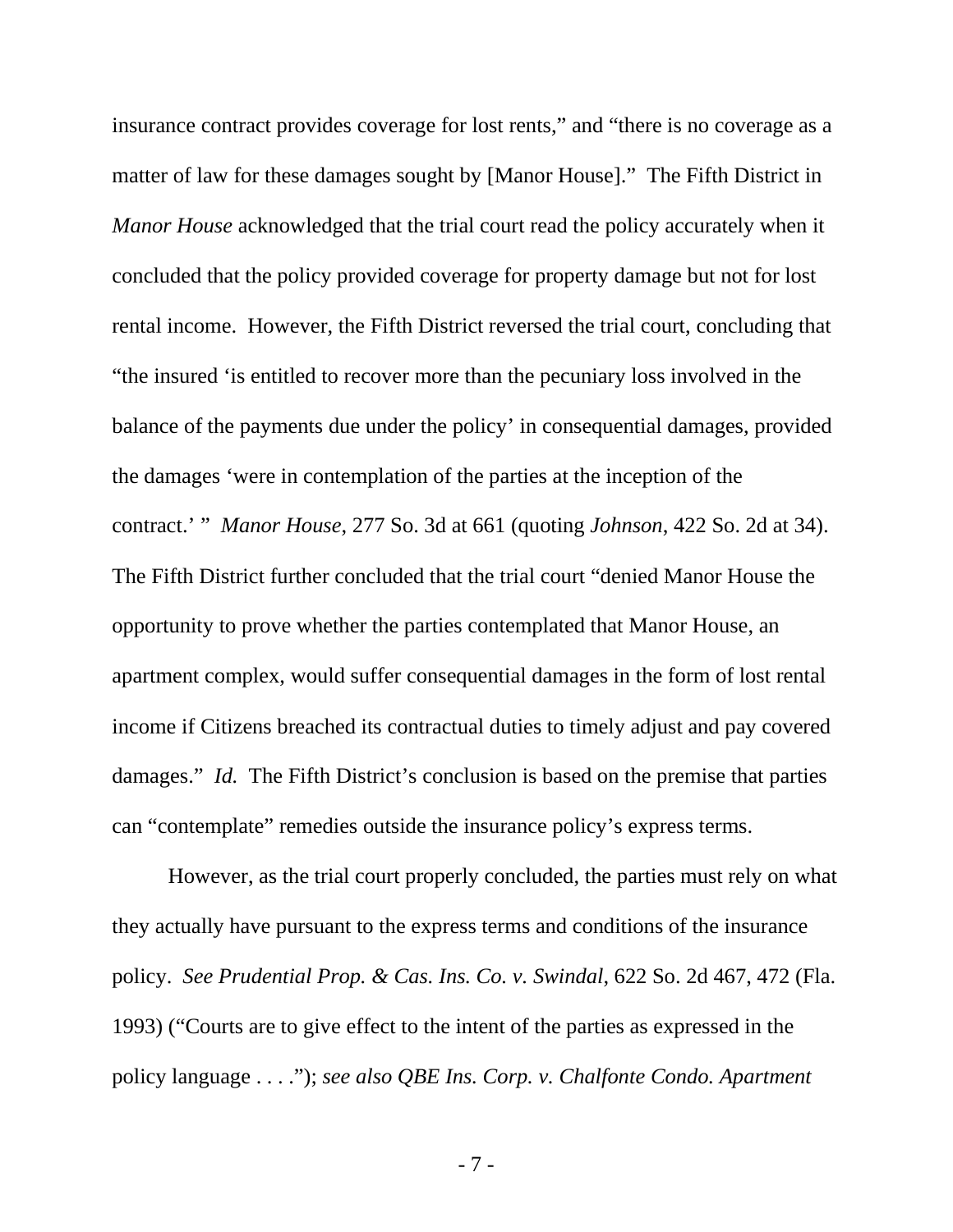insurance contract provides coverage for lost rents," and "there is no coverage as a matter of law for these damages sought by [Manor House]." The Fifth District in *Manor House* acknowledged that the trial court read the policy accurately when it concluded that the policy provided coverage for property damage but not for lost rental income. However, the Fifth District reversed the trial court, concluding that "the insured 'is entitled to recover more than the pecuniary loss involved in the balance of the payments due under the policy' in consequential damages, provided the damages 'were in contemplation of the parties at the inception of the contract.' " *Manor House*, 277 So. 3d at 661 (quoting *Johnson*, 422 So. 2d at 34). The Fifth District further concluded that the trial court "denied Manor House the opportunity to prove whether the parties contemplated that Manor House, an apartment complex, would suffer consequential damages in the form of lost rental income if Citizens breached its contractual duties to timely adjust and pay covered damages." *Id.* The Fifth District's conclusion is based on the premise that parties can "contemplate" remedies outside the insurance policy's express terms.

However, as the trial court properly concluded, the parties must rely on what they actually have pursuant to the express terms and conditions of the insurance policy. *See Prudential Prop. & Cas. Ins. Co. v. Swindal*, 622 So. 2d 467, 472 (Fla. 1993) ("Courts are to give effect to the intent of the parties as expressed in the policy language . . . ."); *see also QBE Ins. Corp. v. Chalfonte Condo. Apartment* 

- 7 -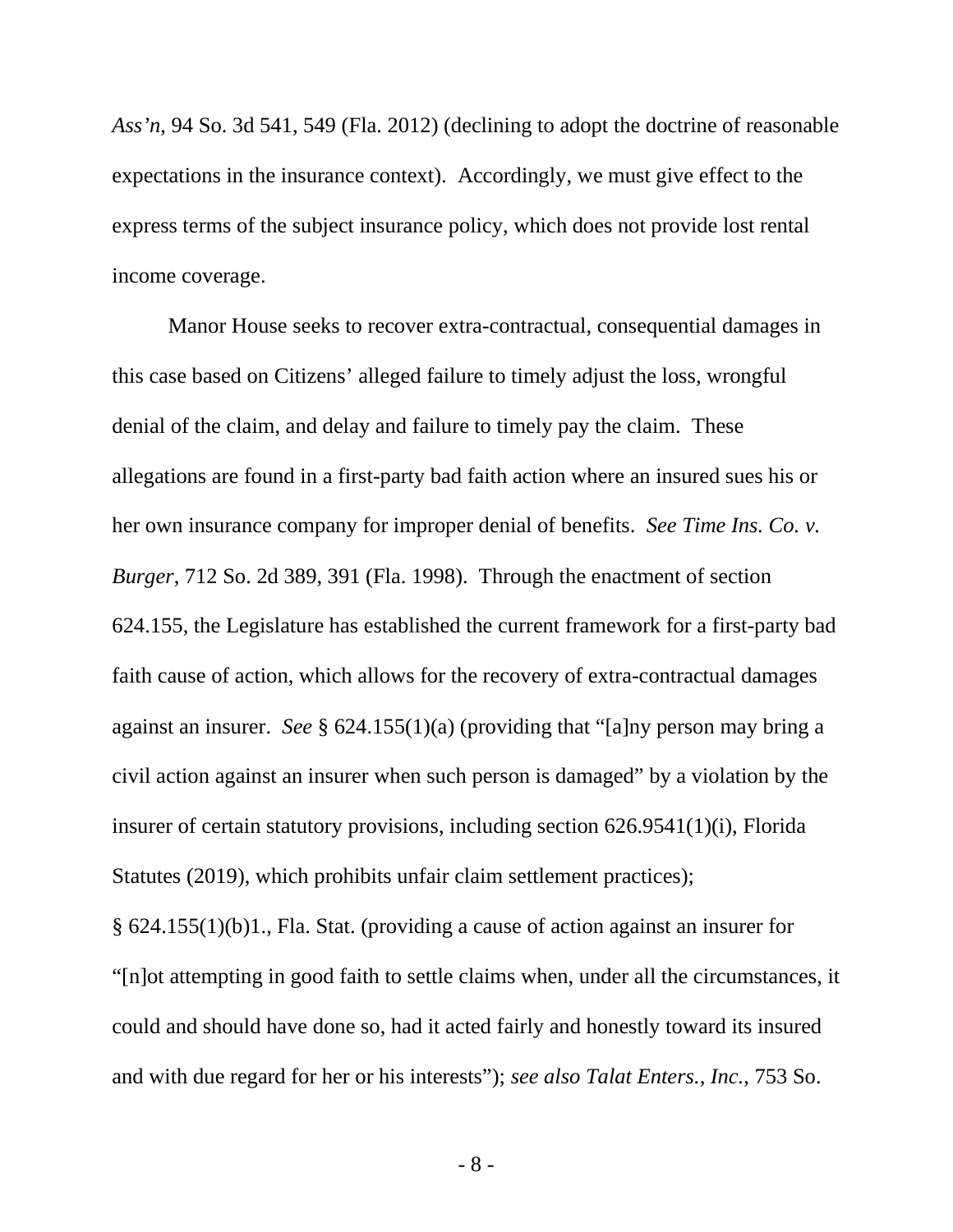*Ass'n*, 94 So. 3d 541, 549 (Fla. 2012) (declining to adopt the doctrine of reasonable expectations in the insurance context). Accordingly, we must give effect to the express terms of the subject insurance policy, which does not provide lost rental income coverage.

Manor House seeks to recover extra-contractual, consequential damages in this case based on Citizens' alleged failure to timely adjust the loss, wrongful denial of the claim, and delay and failure to timely pay the claim. These allegations are found in a first-party bad faith action where an insured sues his or her own insurance company for improper denial of benefits. *See Time Ins. Co. v. Burger*, 712 So. 2d 389, 391 (Fla. 1998). Through the enactment of section 624.155, the Legislature has established the current framework for a first-party bad faith cause of action, which allows for the recovery of extra-contractual damages against an insurer. *See* § 624.155(1)(a) (providing that "[a]ny person may bring a civil action against an insurer when such person is damaged" by a violation by the insurer of certain statutory provisions, including section 626.9541(1)(i), Florida Statutes (2019), which prohibits unfair claim settlement practices);

§ 624.155(1)(b)1., Fla. Stat. (providing a cause of action against an insurer for "[n]ot attempting in good faith to settle claims when, under all the circumstances, it could and should have done so, had it acted fairly and honestly toward its insured and with due regard for her or his interests"); *see also Talat Enters., Inc.*, 753 So.

- 8 -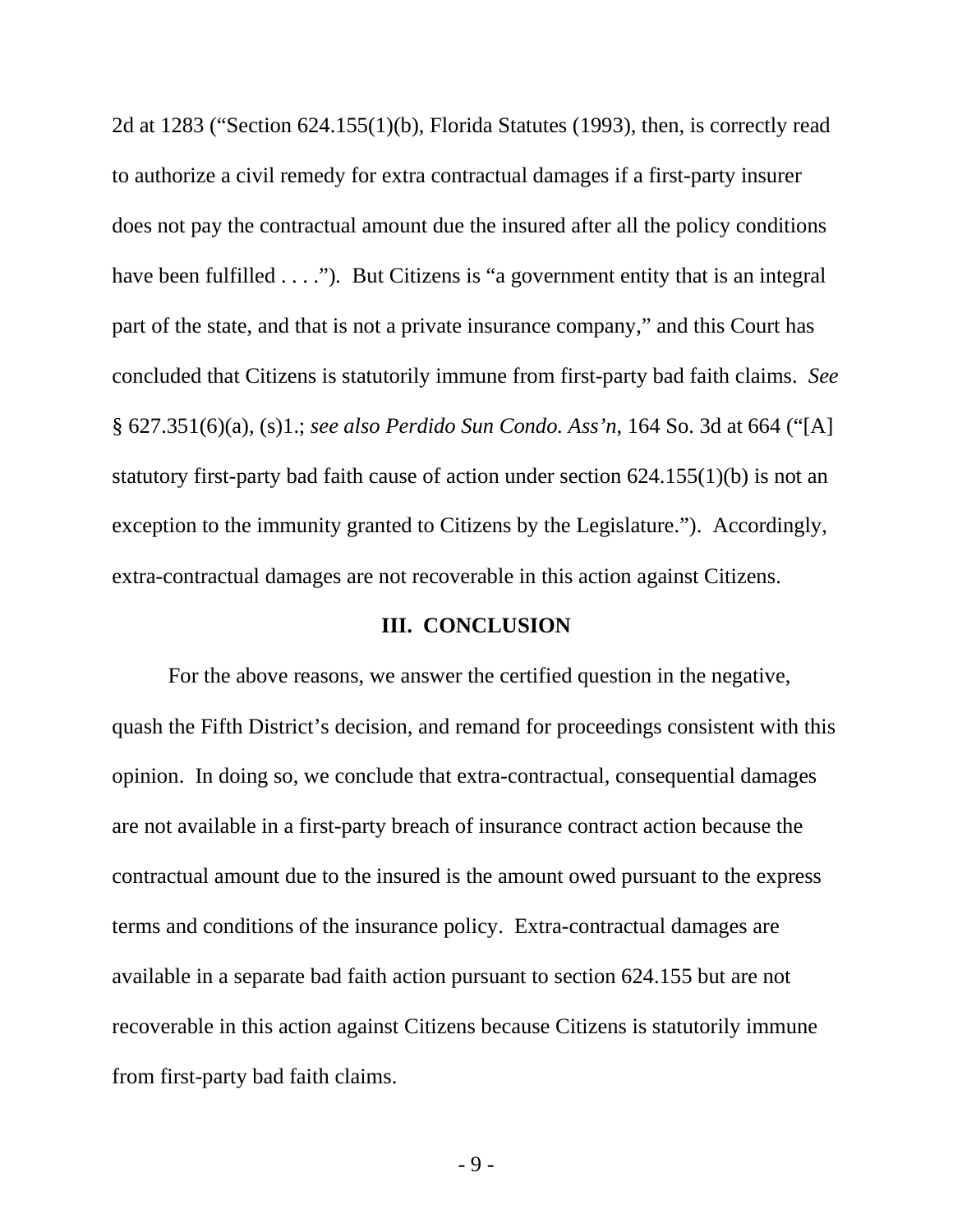2d at 1283 ("Section 624.155(1)(b), Florida Statutes (1993), then, is correctly read to authorize a civil remedy for extra contractual damages if a first-party insurer does not pay the contractual amount due the insured after all the policy conditions have been fulfilled . . . ."). But Citizens is "a government entity that is an integral part of the state, and that is not a private insurance company," and this Court has concluded that Citizens is statutorily immune from first-party bad faith claims. *See* § 627.351(6)(a), (s)1.; *see also Perdido Sun Condo. Ass'n*, 164 So. 3d at 664 ("[A] statutory first-party bad faith cause of action under section 624.155(1)(b) is not an exception to the immunity granted to Citizens by the Legislature."). Accordingly, extra-contractual damages are not recoverable in this action against Citizens.

#### **III. CONCLUSION**

For the above reasons, we answer the certified question in the negative, quash the Fifth District's decision, and remand for proceedings consistent with this opinion. In doing so, we conclude that extra-contractual, consequential damages are not available in a first-party breach of insurance contract action because the contractual amount due to the insured is the amount owed pursuant to the express terms and conditions of the insurance policy. Extra-contractual damages are available in a separate bad faith action pursuant to section 624.155 but are not recoverable in this action against Citizens because Citizens is statutorily immune from first-party bad faith claims.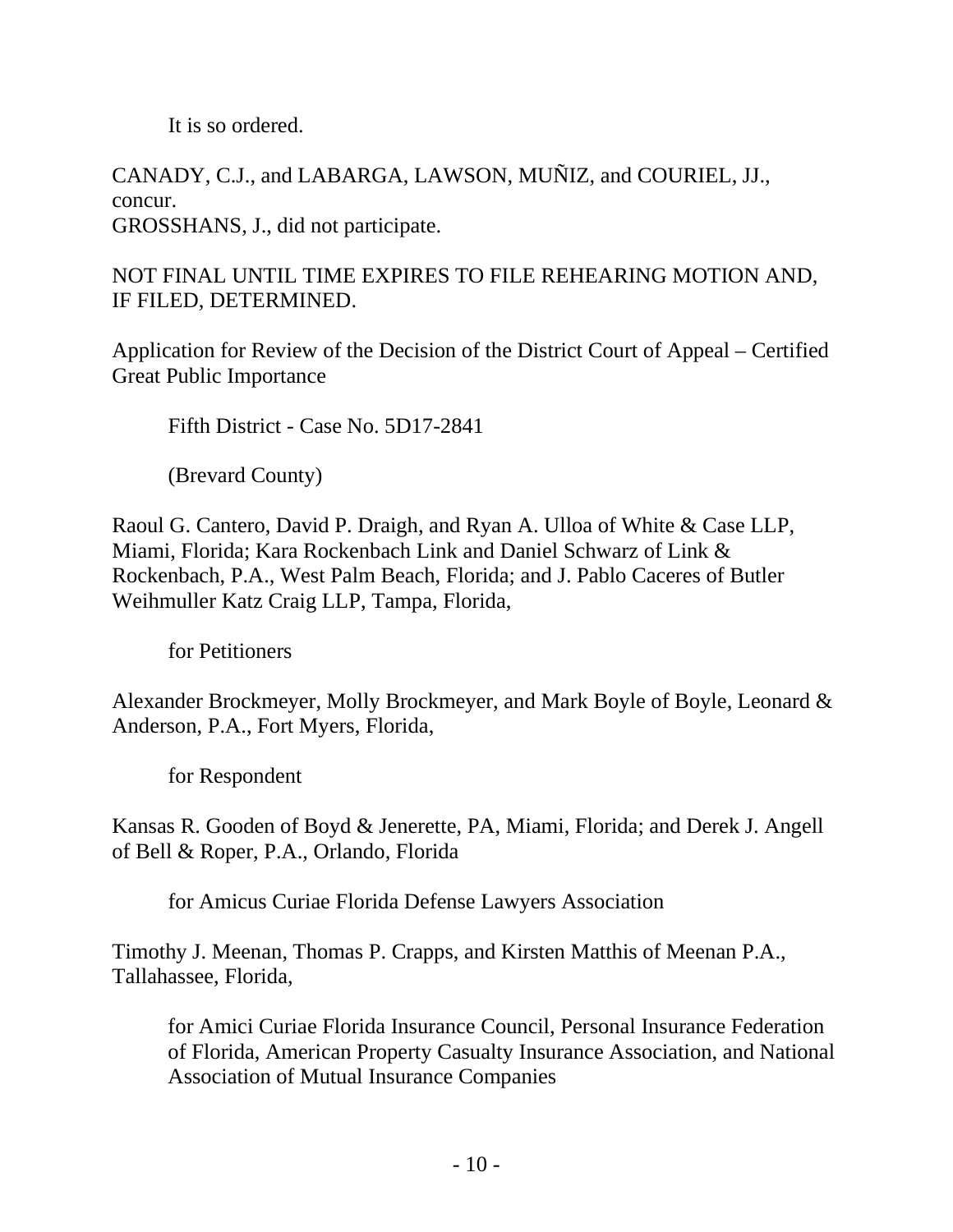It is so ordered.

CANADY, C.J., and LABARGA, LAWSON, MUÑIZ, and COURIEL, JJ., concur. GROSSHANS, J., did not participate.

NOT FINAL UNTIL TIME EXPIRES TO FILE REHEARING MOTION AND, IF FILED, DETERMINED.

Application for Review of the Decision of the District Court of Appeal – Certified Great Public Importance

Fifth District - Case No. 5D17-2841

(Brevard County)

Raoul G. Cantero, David P. Draigh, and Ryan A. Ulloa of White & Case LLP, Miami, Florida; Kara Rockenbach Link and Daniel Schwarz of Link & Rockenbach, P.A., West Palm Beach, Florida; and J. Pablo Caceres of Butler Weihmuller Katz Craig LLP, Tampa, Florida,

for Petitioners

Alexander Brockmeyer, Molly Brockmeyer, and Mark Boyle of Boyle, Leonard & Anderson, P.A., Fort Myers, Florida,

for Respondent

Kansas R. Gooden of Boyd & Jenerette, PA, Miami, Florida; and Derek J. Angell of Bell & Roper, P.A., Orlando, Florida

for Amicus Curiae Florida Defense Lawyers Association

Timothy J. Meenan, Thomas P. Crapps, and Kirsten Matthis of Meenan P.A., Tallahassee, Florida,

for Amici Curiae Florida Insurance Council, Personal Insurance Federation of Florida, American Property Casualty Insurance Association, and National Association of Mutual Insurance Companies